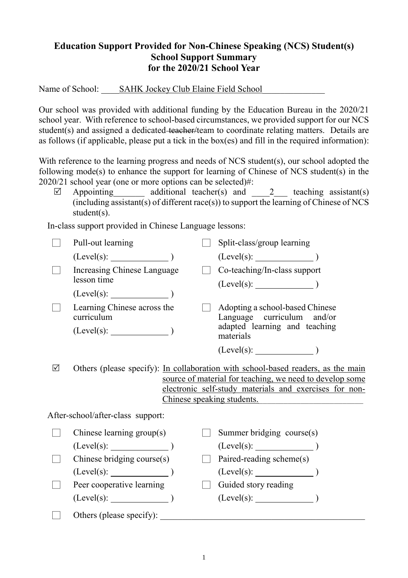## **Education Support Provided for Non-Chinese Speaking (NCS) Student(s) School Support Summary for the 2020/21 School Year**

Name of School: SAHK Jockey Club Elaine Field School

Our school was provided with additional funding by the Education Bureau in the 2020/21 school year. With reference to school-based circumstances, we provided support for our NCS student(s) and assigned a dedicated-teacher/team to coordinate relating matters. Details are as follows (if applicable, please put a tick in the box(es) and fill in the required information):

With reference to the learning progress and needs of NCS student(s), our school adopted the following mode(s) to enhance the support for learning of Chinese of NCS student(s) in the 2020/21 school year (one or more options can be selected)#:

 $\boxtimes$  Appointing additional teacher(s) and 2 teaching assistant(s)  $(including assistant(s) of different race(s))$  to support the learning of Chinese of NCS student(s).

In-class support provided in Chinese Language lessons:

|   | Pull-out learning                                                                                                                                                                                                                                        |  | Split-class/group learning                                                                                  |  |
|---|----------------------------------------------------------------------------------------------------------------------------------------------------------------------------------------------------------------------------------------------------------|--|-------------------------------------------------------------------------------------------------------------|--|
|   |                                                                                                                                                                                                                                                          |  | $(Level(s):$ (Level(s):                                                                                     |  |
|   | Increasing Chinese Language<br>lesson time                                                                                                                                                                                                               |  | Co-teaching/In-class support                                                                                |  |
|   | $(Level(s):$ $)$                                                                                                                                                                                                                                         |  |                                                                                                             |  |
|   | Learning Chinese across the<br>curriculum                                                                                                                                                                                                                |  | Adopting a school-based Chinese<br>Language curriculum and/or<br>adapted learning and teaching<br>materials |  |
| ☑ | $(Level(s):$ $)$<br>Others (please specify): In collaboration with school-based readers, as the main<br>source of material for teaching, we need to develop some<br>electronic self-study materials and exercises for non-<br>Chinese speaking students. |  |                                                                                                             |  |
|   | After-school/after-class support:                                                                                                                                                                                                                        |  |                                                                                                             |  |
|   | Chinese learning $group(s)$<br>$(Level(s):$ (Level(s):                                                                                                                                                                                                   |  | Summer bridging course(s)<br>$(Level(s):$ (Level(s):                                                        |  |
|   | Chinese bridging course(s)                                                                                                                                                                                                                               |  | Paired-reading scheme(s)                                                                                    |  |
|   | $(Level(s):$ (Level(s):                                                                                                                                                                                                                                  |  |                                                                                                             |  |
|   | Peer cooperative learning                                                                                                                                                                                                                                |  | Guided story reading                                                                                        |  |
|   | $(Level(s):$ (Level(s): )                                                                                                                                                                                                                                |  | (Level(s):                                                                                                  |  |
|   | Others (please specify):                                                                                                                                                                                                                                 |  |                                                                                                             |  |